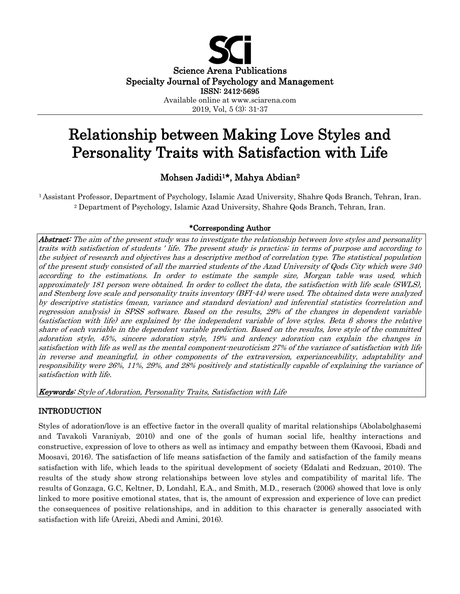

# Relationship between Making Love Styles and Personality Traits with Satisfaction with Life

# Mohsen Jadidi<sup>1\*</sup>, Mahya Abdian<sup>2</sup>

<sup>1</sup> Assistant Professor, Department of Psychology, Islamic Azad University, Shahre Qods Branch, Tehran, Iran. <sup>2</sup> Department of Psychology, Islamic Azad University, Shahre Qods Branch, Tehran, Iran.

## \*Corresponding Author

Abstract: The aim of the present study was to investigate the relationship between love styles and personality traits with satisfaction of students ' life. The present study is practica; in terms of purpose and according to the subject of research and objectives has a descriptive method of correlation type. The statistical population of the present study consisted of all the married students of the Azad University of Qods City which were 340 according to the estimations. In order to estimate the sample size, Morgan table was used, which approximately 181 person were obtained. In order to collect the data, the satisfaction with life scale (SWLS), and Stenberg love scale and personality traits inventory (BFI-44) were used. The obtained data were analyzed by descriptive statistics (mean, variance and standard deviation) and inferential statistics (correlation and regression analysis) in SPSS software. Based on the results, 29% of the changes in dependent variable (satisfaction with life) are explained by the independent variable of love styles. Beta β shows the relative share of each variable in the dependent variable prediction. Based on the results, love style of the committed adoration style, 45%, sincere adoration style, 19% and ardency adoration can explain the changes in satisfaction with life as well as the mental component-neuroticism 27% of the variance of satisfaction with life in reverse and meaningful, in other components of the extraversion, experianceability, adaptability and responsibility were 26%, 11%, 29%, and 28% positively and statistically capable of explaining the variance of satisfaction with life.

Keywords: Style of Adoration, Personality Traits, Satisfaction with Life

### INTRODUCTION

Styles of adoration/love is an effective factor in the overall quality of marital relationships (Abolabolghasemi and Tavakoli Varaniyab, 2010) and one of the goals of human social life, healthy interactions and constructive, expression of love to others as well as intimacy and empathy between them (Kavoosi, Ebadi and Moosavi, 2016). The satisfaction of life means satisfaction of the family and satisfaction of the family means satisfaction with life, which leads to the spiritual development of society (Edalati and Redzuan, 2010). The results of the study show strong relationships between love styles and compatibility of marital life. The results of Gonzaga, G.C, Keltner, D, Londahl, E.A., and Smith, M.D., reserach (2006) showed that love is only linked to more positive emotional states, that is, the amount of expression and experience of love can predict the consequences of positive relationships, and in addition to this character is generally associated with satisfaction with life (Areizi, Abedi and Amini, 2016).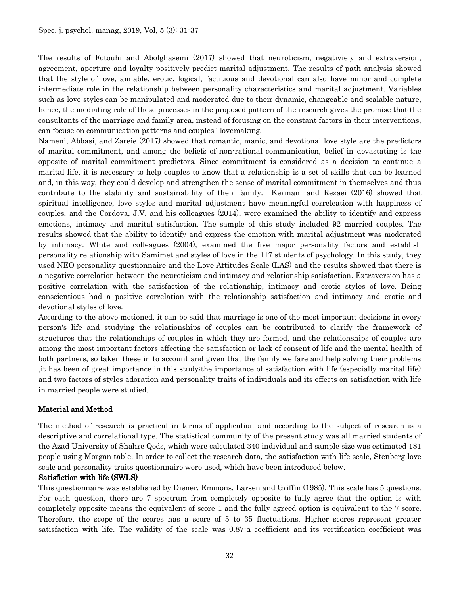The results of Fotouhi and Abolghasemi (2017) showed that neuroticism, negativiely and extraversion, agreement, aperture and loyalty positively predict marital adjustment. The results of path analysis showed that the style of love, amiable, erotic, logical, factitious and devotional can also have minor and complete intermediate role in the relationship between personality characteristics and marital adjustment. Variables such as love styles can be manipulated and moderated due to their dynamic, changeable and scalable nature, hence, the mediating role of these processes in the proposed pattern of the research gives the promise that the consultants of the marriage and family area, instead of focusing on the constant factors in their interventions, can focuse on communication patterns and couples ' lovemaking.

Nameni, Abbasi, and Zareie (2017) showed that romantic, manic, and devotional love style are the predictors of marital commitment, and among the beliefs of non-rational communication, belief in devastating is the opposite of marital commitment predictors. Since commitment is considered as a decision to continue a marital life, it is necessary to help couples to know that a relationship is a set of skills that can be learned and, in this way, they could develop and strengthen the sense of marital commitment in themselves and thus contribute to the stability and sustainability of their family. Kermani and Rezaei (2016) showed that spiritual intelligence, love styles and marital adjustment have meaningful correleation with happiness of couples, and the Cordova, J.V, and his colleagues (2014), were examined the ability to identify and express emotions, intimacy and marital satisfaction. The sample of this study included 92 married couples. The results showed that the ability to identify and express the emotion with marital adjustment was moderated by intimacy. White and colleagues (2004), examined the five major personality factors and establish personality relationship with Samimet and styles of love in the 117 students of psychology. In this study, they used NEO personality questionnaire and the Love Attitudes Scale (LAS) and the results showed that there is a negative correlation between the neuroticism and intimacy and relationship satisfaction. Extraversion has a positive correlation with the satisfaction of the relationship, intimacy and erotic styles of love. Being conscientious had a positive correlation with the relationship satisfaction and intimacy and erotic and devotional styles of love.

According to the above metioned, it can be said that marriage is one of the most important decisions in every person's life and studying the relationships of couples can be contributed to clarify the framework of structures that the relationships of couples in which they are formed, and the relationships of couples are among the most important factors affecting the satisfaction or lack of consent of life and the mental health of both partners, so taken these in to account and given that the family welfare and help solving their problems ,it has been of great importance in this study;the importance of satisfaction with life (especially marital life) and two factors of styles adoration and personality traits of individuals and its effects on satisfaction with life in married people were studied.

#### Material and Method

The method of research is practical in terms of application and according to the subject of research is a descriptive and correlational type. The statistical community of the present study was all married students of the Azad University of Shahre Qods, which were calculated 340 individual and sample size was estimated 181 people using Morgan table. In order to collect the research data, the satisfaction with life scale, Stenberg love scale and personality traits questionnaire were used, which have been introduced below.

#### Satisfiction with life (SWLS)

This questionnaire was established by Diener, Emmons, Larsen and Griffin (1985). This scale has 5 questions. For each question, there are 7 spectrum from completely opposite to fully agree that the option is with completely opposite means the equivalent of score 1 and the fully agreed option is equivalent to the 7 score. Therefore, the scope of the scores has a score of 5 to 35 fluctuations. Higher scores represent greater satisfaction with life. The validity of the scale was 0.87-α coefficient and its vertification coefficient was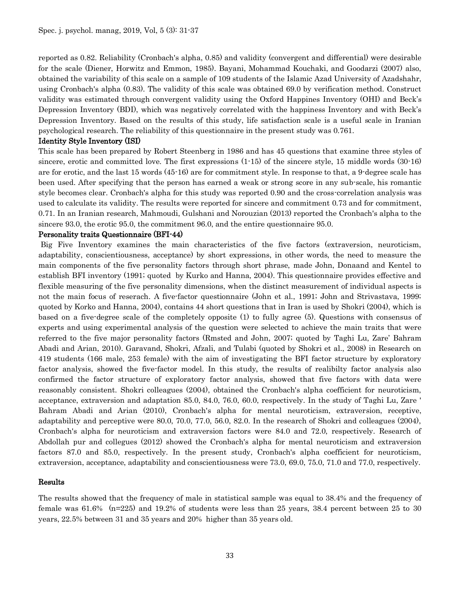reported as 0.82. Reliability (Cronbach's alpha, 0.85) and validity (convergent and differential) were desirable for the scale (Diener, Horwitz and Emmon, 1985). Bayani, Mohammad Kouchaki, and Goodarzi (2007) also, obtained the variability of this scale on a sample of 109 students of the Islamic Azad University of Azadshahr, using Cronbach's alpha (0.83). The validity of this scale was obtained 69.0 by verification method. Construct validity was estimated through convergent validity using the Oxford Happines Inventory (OHI) and Beck's Depression Inventory (BDI), which was negatively correlated with the happiness Inventory and with Beck's Depression Inventory. Based on the results of this study, life satisfaction scale is a useful scale in Iranian psychological research. The reliability of this questionnaire in the present study was 0.761.

#### Identity Style Inventory (ISI)

This scale has been prepared by Robert Steenberg in 1986 and has 45 questions that examine three styles of sincere, erotic and committed love. The first expressions (1-15) of the sincere style, 15 middle words (30-16) are for erotic, and the last 15 words (45-16) are for commitment style. In response to that, a 9-degree scale has been used. After specifying that the person has earned a weak or strong score in any sub-scale, his romantic style becomes clear. Cronbach's alpha for this study was reported 0.90 and the cross-correlation analysis was used to calculate its validity. The results were reported for sincere and commitment 0.73 and for commitment, 0.71. In an Iranian research, Mahmoudi, Gulshani and Norouzian (2013) reported the Cronbach's alpha to the sincere 93.0, the erotic 95.0, the commitment 96.0, and the entire questionnaire 95.0.

#### Personality traits Questionnaire (BFI-44)

Big Five Inventory examines the main characteristics of the five factors (extraversion, neuroticism, adaptability, conscientiousness, acceptance) by short expressions, in other words, the need to measure the main components of the five personality factors through short phrase, made John, Donaand and Kentel to establish BFI inventory (1991; quoted by Kurko and Hanna, 2004). This questionnaire provides effective and flexible measuring of the five personality dimensions, when the distinct measurement of individual aspects is not the main focus of reserach. A five-factor questionnaire (John et al., 1991; John and Strivastava, 1999; quoted by Korko and Hanna, 2004), contains 44 short questions that in Iran is used by Shokri (2004), which is based on a five-degree scale of the completely opposite (1) to fully agree (5). Questions with consensus of experts and using experimental analysis of the question were selected to achieve the main traits that were referred to the five major personality factors (Rmsted and John, 2007; quoted by Taghi Lu, Zare' Bahram Abadi and Arian, 2010). Garavand, Shokri, Afzali, and Tulabi (quoted by Shokri et al., 2008) in Research on 419 students (166 male, 253 female) with the aim of investigating the BFI factor structure by exploratory factor analysis, showed the five-factor model. In this study, the results of realibilty factor analysis also confirmed the factor structure of exploratory factor analysis, showed that five factors with data were reasonably consistent. Shokri colleagues (2004), obtained the Cronbach's alpha coefficient for neuroticism, acceptance, extraversion and adaptation 85.0, 84.0, 76.0, 60.0, respectively. In the study of Taghi Lu, Zare ' Bahram Abadi and Arian (2010), Cronbach's alpha for mental neuroticism, extraversion, receptive, adaptability and perceptive were 80.0, 70.0, 77.0, 56.0, 82.0. In the research of Shokri and colleagues (2004), Cronbach's alpha for neuroticism and extraversion factors were 84.0 and 72.0, respectively. Research of Abdollah pur and collegues (2012) showed the Cronbach's alpha for mental neuroticism and extraversion factors 87.0 and 85.0, respectively. In the present study, Cronbach's alpha coefficient for neuroticism, extraversion, acceptance, adaptability and conscientiousness were 73.0, 69.0, 75.0, 71.0 and 77.0, respectively.

#### Results

The results showed that the frequency of male in statistical sample was equal to 38.4% and the frequency of female was 61.6% (n=225) and 19.2% of students were less than 25 years, 38.4 percent between 25 to 30 years, 22.5% between 31 and 35 years and 20% higher than 35 years old.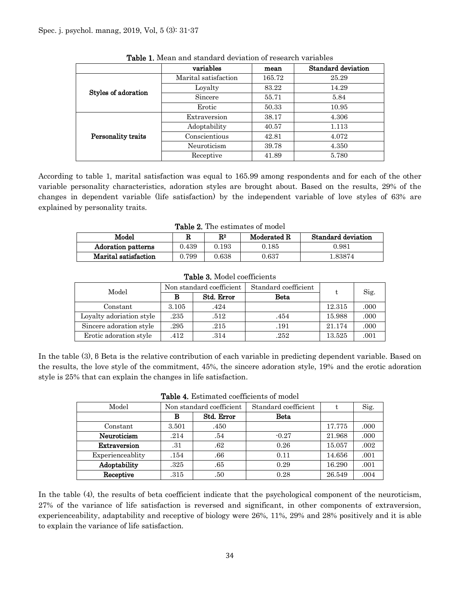|                     | variables            | mean   | <b>Standard deviation</b> |
|---------------------|----------------------|--------|---------------------------|
| Styles of adoration | Marital satisfaction | 165.72 | 25.29                     |
|                     | Loyalty              | 83.22  | 14.29                     |
|                     | Sincere              | 55.71  | 5.84                      |
|                     | Erotic               | 50.33  | 10.95                     |
| Personality traits  | Extraversion         | 38.17  | 4.306                     |
|                     | Adoptability         | 40.57  | 1.113                     |
|                     | Conscientious        | 42.81  | 4.072                     |
|                     | Neuroticism          | 39.78  | 4.350                     |
|                     | Receptive            | 41.89  | 5.780                     |

Table 1. Mean and standard deviation of research variables

According to table 1, marital satisfaction was equal to 165.99 among respondents and for each of the other variable personality characteristics, adoration styles are brought about. Based on the results, 29% of the changes in dependent variable (life satisfaction) by the independent variable of love styles of 63% are explained by personality traits.

Table 2. The estimates of model

| Model                     | n     | $\mathbf{R}^{\mathbf{2}}$ | Moderated R | Standard deviation |
|---------------------------|-------|---------------------------|-------------|--------------------|
| <b>Adoration patterns</b> | 0.439 | 0.193                     | 0.185       | $_{0.981}$         |
| Marital satisfaction      | 0.799 | ${0.638}$                 | 0.637       | 1.83874            |

| Model                    | Non standard coefficient |            | Standard coefficient |        |      |
|--------------------------|--------------------------|------------|----------------------|--------|------|
|                          | в                        | Std. Error | Beta                 |        | Sig. |
| Constant                 | 3.105                    | .424       |                      | 12.315 | .000 |
| Loyalty adoriation style | .235                     | .512       | .454                 | 15.988 | .000 |
| Sincere adoration style  | .295                     | .215       | .191                 | 21.174 | .000 |
| Erotic adoration style   | .412                     | .314       | .252                 | 13.525 | .001 |

Table 3. Model coefficients

In the table (3), β Beta is the relative contribution of each variable in predicting dependent variable. Based on the results, the love style of the commitment, 45%, the sincere adoration style, 19% and the erotic adoration style is 25% that can explain the changes in life satisfaction.

| Model               | Non standard coefficient |            | Standard coefficient |        | Sig. |
|---------------------|--------------------------|------------|----------------------|--------|------|
|                     | в                        | Std. Error | Beta                 |        |      |
| Constant            | 3.501                    | .450       |                      | 17.775 | .000 |
| Neuroticism         | .214                     | .54        | $-0.27$              | 21.968 | .000 |
| <b>Extraversion</b> | .31                      | .62        | 0.26                 | 15.057 | .002 |
| Experienceablity    | .154                     | .66        | 0.11                 | 14.656 | .001 |
| Adoptability        | .325                     | .65        | 0.29                 | 16.290 | .001 |
| Receptive           | .315                     | .50        | 0.28                 | 26.549 | .004 |

Table 4. Estimated coefficients of model

In the table (4), the results of beta coefficient indicate that the psychological component of the neuroticism, 27% of the variance of life satisfaction is reversed and significant, in other components of extraversion, experienceability, adaptability and receptive of biology were 26%, 11%, 29% and 28% positively and it is able to explain the variance of life satisfaction.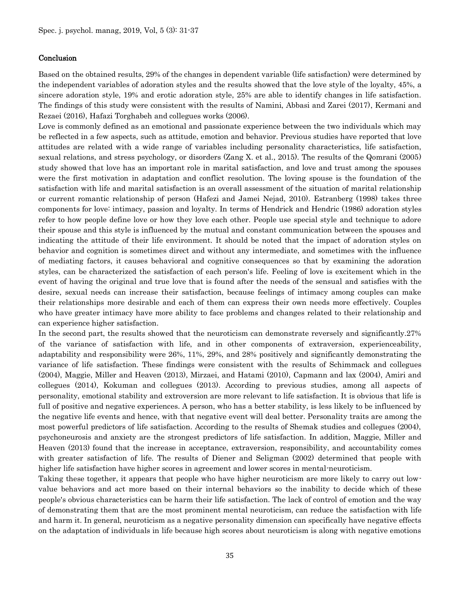#### Conclusion

Based on the obtained results, 29% of the changes in dependent variable (life satisfaction) were determined by the independent variables of adoration styles and the results showed that the love style of the loyalty, 45%, a sincere adoration style, 19% and erotic adoration style, 25% are able to identify changes in life satisfaction. The findings of this study were consistent with the results of Namini, Abbasi and Zarei (2017), Kermani and Rezaei (2016), Hafazi Torghabeh and collegues works (2006).

Love is commonly defined as an emotional and passionate experience between the two individuals which may be reflected in a few aspects, such as attitude, emotion and behavior. Previous studies have reported that love attitudes are related with a wide range of variables including personality characteristics, life satisfaction, sexual relations, and stress psychology, or disorders (Zang X. et al., 2015). The results of the Qomrani (2005) study showed that love has an important role in marital satisfaction, and love and trust among the spouses were the first motivation in adaptation and conflict resolution. The loving spouse is the foundation of the satisfaction with life and marital satisfaction is an overall assessment of the situation of marital relationship or current romantic relationship of person (Hafezi and Jamei Nejad, 2010). Estranberg (1998) takes three components for love: intimacy, passion and loyalty. In terms of Hendrick and Hendric (1986) adoration styles refer to how people define love or how they love each other. People use special style and technique to adore their spouse and this style is influenced by the mutual and constant communication between the spouses and indicating the attitude of their life environment. It should be noted that the impact of adoration styles on behavior and cognition is sometimes direct and without any intermediate, and sometimes with the influence of mediating factors, it causes behavioral and cognitive consequences so that by examining the adoration styles, can be characterized the satisfaction of each person's life. Feeling of love is excitement which in the event of having the original and true love that is found after the needs of the sensual and satisfies with the desire, sexual needs can increase their satisfaction, because feelings of intimacy among couples can make their relationships more desirable and each of them can express their own needs more effectively. Couples who have greater intimacy have more ability to face problems and changes related to their relationship and can experience higher satisfaction.

In the second part, the results showed that the neuroticism can demonstrate reversely and significantly.27% of the variance of satisfaction with life, and in other components of extraversion, experienceability, adaptability and responsibility were 26%, 11%, 29%, and 28% positively and significantly demonstrating the variance of life satisfaction. These findings were consistent with the results of Schimmack and collegues (2004), Maggie, Miller and Heaven (2013), Mirzaei, and Hatami (2010), Capmann and lax (2004), Amiri and collegues (2014), Kokuman and collegues (2013). According to previous studies, among all aspects of personality, emotional stability and extroversion are more relevant to life satisfaction. It is obvious that life is full of positive and negative experiences. A person, who has a better stability, is less likely to be influenced by the negative life events and hence, with that negative event will deal better. Personality traits are among the most powerful predictors of life satisfaction. According to the results of Shemak studies and collegues (2004), psychoneurosis and anxiety are the strongest predictors of life satisfaction. In addition, Maggie, Miller and Heaven (2013) found that the increase in acceptance, extraversion, responsibility, and accountability comes with greater satisfaction of life. The results of Diener and Seligman (2002) determined that people with higher life satisfaction have higher scores in agreement and lower scores in mental-neuroticism.

Taking these together, it appears that people who have higher neuroticism are more likely to carry out lowvalue behaviors and act more based on their internal behaviors so the inability to decide which of these people's obvious characteristics can be harm their life satisfaction. The lack of control of emotion and the way of demonstrating them that are the most prominent mental neuroticism, can reduce the satisfaction with life and harm it. In general, neuroticism as a negative personality dimension can specifically have negative effects on the adaptation of individuals in life because high scores about neuroticism is along with negative emotions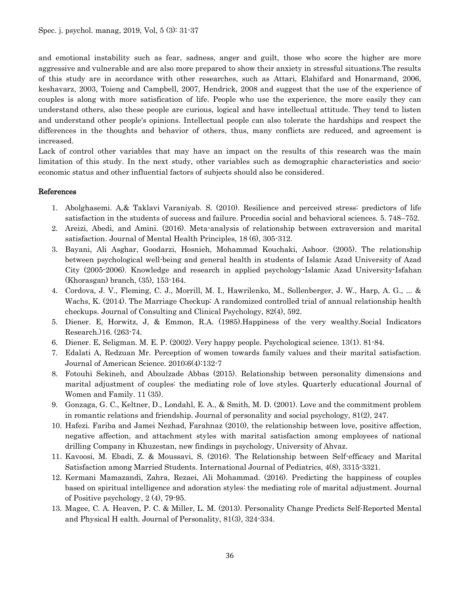and emotional instability such as fear, sadness, anger and guilt, those who score the higher are more aggressive and vulnerable and are also more prepared to show their anxiety in stressful situations.The results of this study are in accordance with other researches, such as Attari, Elahifard and Honarmand, 2006, keshavarz, 2003, Toieng and Campbell, 2007, Hendrick, 2008 and suggest that the use of the experience of couples is along with more satisfication of life. People who use the experience, the more easily they can understand others, also these people are curious, logical and have intellectual attitude. They tend to listen and understand other people's opinions. Intellectual people can also tolerate the hardships and respect the differences in the thoughts and behavior of others, thus, many conflicts are reduced, and agreement is increased.

Lack of control other variables that may have an impact on the results of this research was the main limitation of this study. In the next study, other variables such as demographic characteristics and socioeconomic status and other influential factors of subjects should also be considered.

#### References

- 1. Abolghasemi. A,& Taklavi Varaniyab. S. (2010). Resilience and perceived stress: predictors of life satisfaction in the students of success and failure. Procedia social and behavioral sciences. 5. 748–752.
- 2. Areizi, Abedi, and Amini. (2016). Meta-analysis of relationship between extraversion and marital satisfaction. Journal of Mental Health Principles, 18 (6), 305-312.
- 3. Bayani, Ali Asghar, Goodarzi, Hosnieh, Mohammad Kouchaki, Ashoor. (2005). The relationship between psychological well-being and general health in students of Islamic Azad University of Azad City (2005-2006). Knowledge and research in applied psychology-Islamic Azad University-Isfahan (Khorasgan) branch, (35), 153-164.
- 4. Cordova, J. V., Fleming, C. J., Morrill, M. I., Hawrilenko, M., Sollenberger, J. W., Harp, A. G., ... & Wachs, K. (2014). The Marriage Checkup: A randomized controlled trial of annual relationship health checkups. Journal of Consulting and Clinical Psychology, 82(4), 592.
- 5. Diener. E, Horwitz, J, & Emmon, R.A. (1985).Happiness of the very wealthy.Social Indicators Research.)16. (263-74.
- 6. Diener. E, Seligman. M. E. P. (2002). Very happy people. Psychological science. 13(1). 81-84.
- 7. Edalati A, Redzuan Mr. Perception of women towards family values and their marital satisfaction. Journal of American Science. 2010;6(4):132-7
- 8. Fotouhi Sekineh, and Aboulzade Abbas (2015). Relationship between personality dimensions and marital adjustment of couples: the mediating role of love styles. Quarterly educational Journal of Women and Family. 11 (35).
- 9. Gonzaga, G. C., Keltner, D., Londahl, E. A., & Smith, M. D. (2001). Love and the commitment problem in romantic relations and friendship. Journal of personality and social psychology, 81(2), 247.
- 10. Hafezi. Fariba and Jamei Nezhad, Farahnaz (2010), the relationship between love, positive affection, negative affection, and attachment styles with marital satisfaction among employees of national drilling Company in Khuzestan, new findings in psychology, University of Ahvaz.
- 11. Kavoosi, M. Ebadi, Z. & Moussavi, S. (2016). The Relationship between Self-efficacy and Marital Satisfaction among Married Students. International Journal of Pediatrics, 4(8), 3315-3321.
- 12. Kermani Mamazandi, Zahra, Rezaei, Ali Mohammad. (2016). Predicting the happiness of couples based on spiritual intelligence and adoration styles: the mediating role of marital adjustment. Journal of Positive psychology, 2 (4), 79-95.
- 13. Magee, C. A. Heaven, P. C. & Miller, L. M. (2013). Personality Change Predicts Self‐Reported Mental and Physical H ealth. Journal of Personality, 81(3), 324-334.